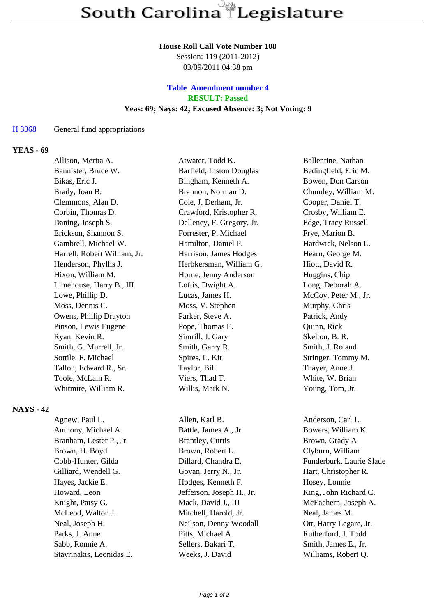#### **House Roll Call Vote Number 108**

Session: 119 (2011-2012) 03/09/2011 04:38 pm

# **Table Amendment number 4 RESULT: Passed Yeas: 69; Nays: 42; Excused Absence: 3; Not Voting: 9**

#### H 3368 General fund appropriations

### **YEAS - 69**

| Allison, Merita A.           | Atwater, Todd K.          | Ballentine, Nathan   |
|------------------------------|---------------------------|----------------------|
| Bannister, Bruce W.          | Barfield, Liston Douglas  | Bedingfield, Eric M. |
| Bikas, Eric J.               | Bingham, Kenneth A.       | Bowen, Don Carson    |
| Brady, Joan B.               | Brannon, Norman D.        | Chumley, William M.  |
| Clemmons, Alan D.            | Cole, J. Derham, Jr.      | Cooper, Daniel T.    |
| Corbin, Thomas D.            | Crawford, Kristopher R.   | Crosby, William E.   |
| Daning, Joseph S.            | Delleney, F. Gregory, Jr. | Edge, Tracy Russell  |
| Erickson, Shannon S.         | Forrester, P. Michael     | Frye, Marion B.      |
| Gambrell, Michael W.         | Hamilton, Daniel P.       | Hardwick, Nelson L.  |
| Harrell, Robert William, Jr. | Harrison, James Hodges    | Hearn, George M.     |
| Henderson, Phyllis J.        | Herbkersman, William G.   | Hiott, David R.      |
| Hixon, William M.            | Horne, Jenny Anderson     | Huggins, Chip        |
| Limehouse, Harry B., III     | Loftis, Dwight A.         | Long, Deborah A.     |
| Lowe, Phillip D.             | Lucas, James H.           | McCoy, Peter M., Jr. |
| Moss, Dennis C.              | Moss, V. Stephen          | Murphy, Chris        |
| Owens, Phillip Drayton       | Parker, Steve A.          | Patrick, Andy        |
| Pinson, Lewis Eugene         | Pope, Thomas E.           | Quinn, Rick          |
| Ryan, Kevin R.               | Simrill, J. Gary          | Skelton, B. R.       |
| Smith, G. Murrell, Jr.       | Smith, Garry R.           | Smith, J. Roland     |
| Sottile, F. Michael          | Spires, L. Kit            | Stringer, Tommy M.   |
| Tallon, Edward R., Sr.       | Taylor, Bill              | Thayer, Anne J.      |
| Toole, McLain R.             | Viers, Thad T.            | White, W. Brian      |
| Whitmire, William R.         | Willis, Mark N.           | Young, Tom, Jr.      |
|                              |                           |                      |

## **NAYS - 42**

| Agnew, Paul L.          |  |  |
|-------------------------|--|--|
| Anthony, Michael A.     |  |  |
| Branham, Lester P., Jr. |  |  |
| Brown, H. Boyd          |  |  |
| Cobb-Hunter, Gilda      |  |  |
| Gilliard, Wendell G.    |  |  |
| Hayes, Jackie E.        |  |  |
| Howard, Leon            |  |  |
| Knight, Patsy G.        |  |  |
| McLeod, Walton J.       |  |  |
| Neal, Joseph H.         |  |  |
| Parks, J. Anne          |  |  |
| Sabb, Ronnie A.         |  |  |
| Stavrinakis Leonidas E  |  |  |

Allen, Karl B. Anderson, Carl L. Battle, James A., Jr. Bowers, William K. Brantley, Curtis Brown, Grady A. Brown, Robert L. Clyburn, William Dillard, Chandra E. Funderburk, Laurie Slade Govan, Jerry N., Jr. Hart, Christopher R. Hodges, Kenneth F. Hosey, Lonnie Jefferson, Joseph H., Jr. King, John Richard C. Mack, David J., III McEachern, Joseph A. Mitchell, Harold, Jr. Neal, James M. Neilson, Denny Woodall Ott, Harry Legare, Jr. Pitts, Michael A. Rutherford, J. Todd Sellers, Bakari T. Smith, James E., Jr. Stavrinakis, Leonidas E. Weeks, J. David Williams, Robert Q.